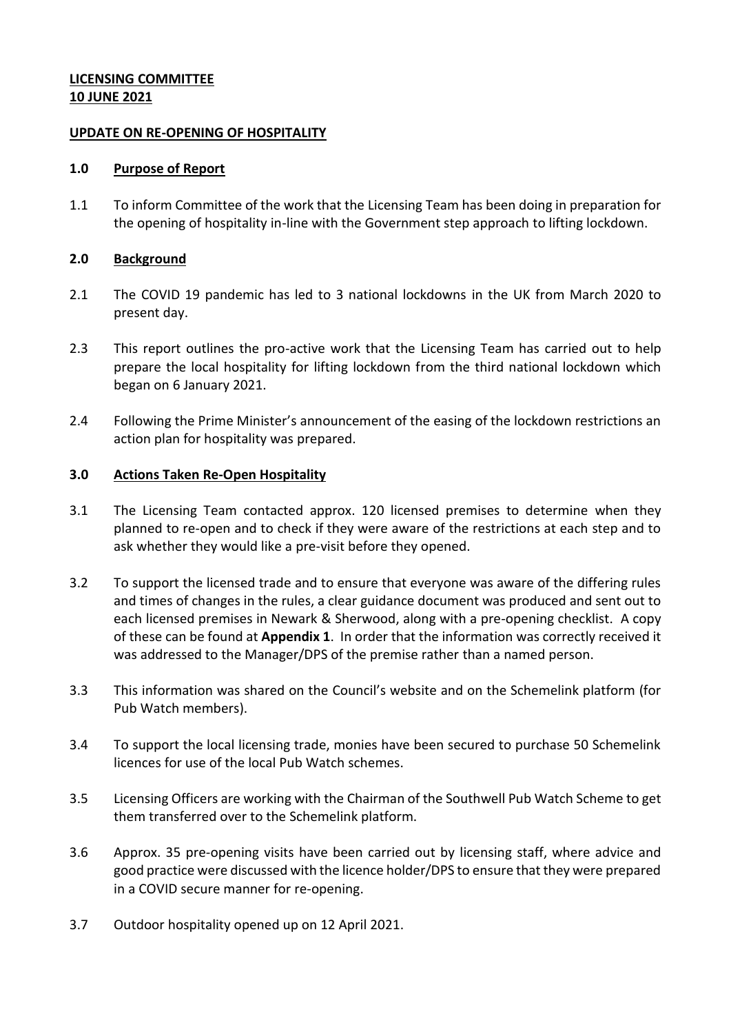# **LICENSING COMMITTEE 10 JUNE 2021**

### **UPDATE ON RE-OPENING OF HOSPITALITY**

#### **1.0 Purpose of Report**

1.1 To inform Committee of the work that the Licensing Team has been doing in preparation for the opening of hospitality in-line with the Government step approach to lifting lockdown.

### **2.0 Background**

- 2.1 The COVID 19 pandemic has led to 3 national lockdowns in the UK from March 2020 to present day.
- 2.3 This report outlines the pro-active work that the Licensing Team has carried out to help prepare the local hospitality for lifting lockdown from the third national lockdown which began on 6 January 2021.
- 2.4 Following the Prime Minister's announcement of the easing of the lockdown restrictions an action plan for hospitality was prepared.

### **3.0 Actions Taken Re-Open Hospitality**

- 3.1 The Licensing Team contacted approx. 120 licensed premises to determine when they planned to re-open and to check if they were aware of the restrictions at each step and to ask whether they would like a pre-visit before they opened.
- 3.2 To support the licensed trade and to ensure that everyone was aware of the differing rules and times of changes in the rules, a clear guidance document was produced and sent out to each licensed premises in Newark & Sherwood, along with a pre-opening checklist. A copy of these can be found at **Appendix 1**. In order that the information was correctly received it was addressed to the Manager/DPS of the premise rather than a named person.
- 3.3 This information was shared on the Council's website and on the Schemelink platform (for Pub Watch members).
- 3.4 To support the local licensing trade, monies have been secured to purchase 50 Schemelink licences for use of the local Pub Watch schemes.
- 3.5 Licensing Officers are working with the Chairman of the Southwell Pub Watch Scheme to get them transferred over to the Schemelink platform.
- 3.6 Approx. 35 pre-opening visits have been carried out by licensing staff, where advice and good practice were discussed with the licence holder/DPS to ensure that they were prepared in a COVID secure manner for re-opening.
- 3.7 Outdoor hospitality opened up on 12 April 2021.